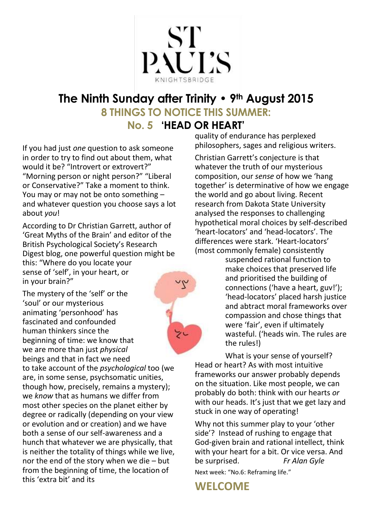

# **The Ninth Sunday after Trinity • 9th August 2015 8 THINGS TO NOTICE THIS SUMMER:**

## **No. 5 'HEAD OR HEART'**

シ

If you had just *one* question to ask someone in order to try to find out about them, what would it be? "Introvert or extrovert?" "Morning person or night person?" "Liberal or Conservative?" Take a moment to think. You may or may not be onto something – and whatever question you choose says a lot about *you*!

According to Dr Christian Garrett, author of 'Great Myths of the Brain' and editor of the British Psychological Society's Research Digest blog, one powerful question might be this: "Where do you locate your sense of 'self', in your heart, or in your brain?"

The mystery of the 'self' or the 'soul' or our mysterious animating 'personhood' has fascinated and confounded human thinkers since the beginning of time: we know that we are more than just *physical* beings and that in fact we need to take account of the *psychological* too (we are, in some sense, psychsomatic unities, though how, precisely, remains a mystery); we *know* that as humans we differ from most other species on the planet either by degree or radically (depending on your view or evolution and or creation) and we have both a sense of our self-awareness and a hunch that whatever we are physically, that is neither the totality of things while we live, nor the end of the story when we die – but from the beginning of time, the location of

this 'extra bit' and its

quality of endurance has perplexed philosophers, sages and religious writers.

Christian Garrett's conjecture is that whatever the truth of our mysterious composition, our *sense* of how we 'hang together' is determinative of how we engage the world and go about living. Recent research from Dakota State University analysed the responses to challenging hypothetical moral choices by self-described 'heart-locators' and 'head-locators'. The differences were stark. 'Heart-locators' (most commonly female) consistently

suspended rational function to make choices that preserved life and prioritised the building of connections ('have a heart, guv!'); 'head-locators' placed harsh justice and abtract moral frameworks over compassion and chose things that were 'fair', even if ultimately wasteful. ('heads win. The rules are the rules!)

What is your sense of yourself? Head or heart? As with most intuitive frameworks our answer probably depends on the situation. Like most people, we can probably do both: think with our hearts *or* with our heads. It's just that we get lazy and stuck in one way of operating!

Why not this summer play to your 'other side'? Instead of rushing to engage that God-given brain and rational intellect, think with your heart for a bit. Or vice versa. And be surprised. *Fr Alan Gyle* Next week: "No.6: Reframing life."

**WELCOME**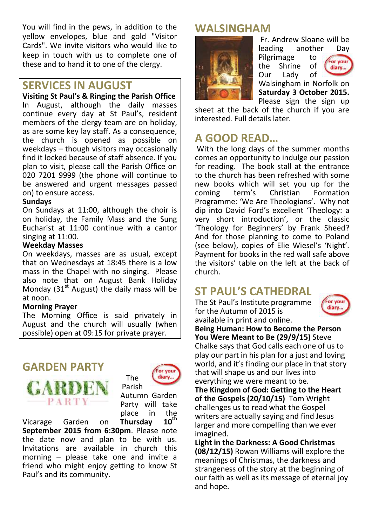You will find in the pews, in addition to the yellow envelopes, blue and gold "Visitor Cards". We invite visitors who would like to keep in touch with us to complete one of these and to hand it to one of the clergy.

## **SERVICES IN AUGUST**

**Visiting St Paul's & Ringing the Parish Office** In August, although the daily masses continue every day at St Paul's, resident members of the clergy team are on holiday, as are some key lay staff. As a consequence, the church is opened as possible on weekdays – though visitors may occasionally find it locked because of staff absence. If you plan to visit, please call the Parish Office on 020 7201 9999 (the phone will continue to be answered and urgent messages passed on) to ensure access.

#### **Sundays**

On Sundays at 11:00, although the choir is on holiday, the Family Mass and the Sung Eucharist at 11:00 continue with a cantor singing at 11:00.

#### **Weekday Masses**

On weekdays, masses are as usual, except that on Wednesdays at 18:45 there is a low mass in the Chapel with no singing. Please also note that on August Bank Holiday Monday (31st August) the daily mass will be at noon.

#### **Morning Prayer**

The Morning Office is said privately in August and the church will usually (when possible) open at 09:15 for private prayer.

## **GARDEN PARTY**

**PART** 



Autumn Garden Party will take place in the<br>Thursday 10<sup>th</sup>

Vicarage Garden on **Thursday September 2015 from 6:30pm**. Please note the date now and plan to be with us. Invitations are available in church this morning – please take one and invite a friend who might enjoy getting to know St Paul's and its community.

## **WALSINGHAM**



Fr. Andrew Sloane will be leading another Day Pilgrimage to<br>the Shrine of For your Shrine diary... Our Lady of Walsingham in Norfolk on **Saturday 3 October 2015.**

Please sign the sign up sheet at the back of the church if you are interested. Full details later.

## **A GOOD READ…**

With the long days of the summer months comes an opportunity to indulge our passion for reading. The book stall at the entrance to the church has been refreshed with some new books which will set you up for the coming term's Christian Formation Programme: 'We Are Theologians'. Why not dip into David Ford's excellent 'Theology: a very short introduction', or the classic 'Theology for Beginners' by Frank Sheed? And for those planning to come to Poland (see below), copies of Elie Wiesel's 'Night'. Payment for books in the red wall safe above the visitors' table on the left at the back of church.

## **ST PAUL'S CATHEDRAL**

The St Paul's Institute programme for the Autumn of 2015 is available in print and online.



**Being Human: How to Become the Person You Were Meant to Be (29/9/15)** Steve Chalke says that God calls each one of us to play our part in his plan for a just and loving world, and it's finding our place in that story that will shape us and our lives into everything we were meant to be. **The Kingdom of God: Getting to the Heart** 

**of the Gospels (20/10/15)** Tom Wright challenges us to read what the Gospel writers are actually saying and find Jesus larger and more compelling than we ever imagined.

**Light in the Darkness: A Good Christmas (08/12/15)** Rowan Williams will explore the meanings of Christmas, the darkness and strangeness of the story at the beginning of our faith as well as its message of eternal joy and hope.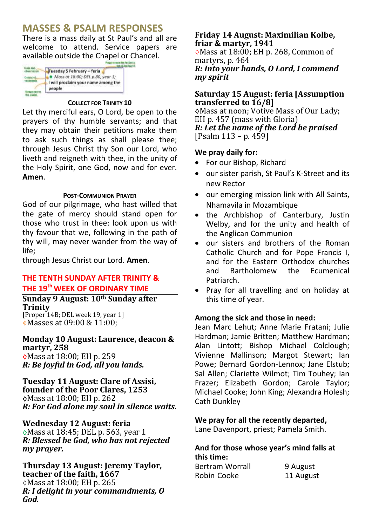## **MASSES & PSALM RESPONSES**

There is a mass daily at St Paul's and all are welcome to attend. Service papers are available outside the Chapel or Chancel.

| Tuesday 5 February - feria                                              |
|-------------------------------------------------------------------------|
| Mass at 18:00; DEL p.80, year 1;<br>I will proclaim your name among the |
| people                                                                  |

#### **COLLECT FOR TRINITY 10**

Let thy merciful ears, O Lord, be open to the prayers of thy humble servants; and that they may obtain their petitions make them to ask such things as shall please thee; through Jesus Christ thy Son our Lord, who liveth and reigneth with thee, in the unity of the Holy Spirit, one God, now and for ever. **Amen**.

#### **POST-COMMUNION PRAYER**

God of our pilgrimage, who hast willed that the gate of mercy should stand open for those who trust in thee: look upon us with thy favour that we, following in the path of thy will, may never wander from the way of life;

through Jesus Christ our Lord. **Amen**.

#### **THE TENTH SUNDAY AFTER TRINITY & THE 19th WEEK OF ORDINARY TIME**

#### **Sunday 9 August: 10th Sunday after Trinity**

[Proper 14B; DEL week 19, year 1] Masses at 09:00 & 11:00;

#### **Monday 10 August: Laurence, deacon & martyr, 258** Mass at 18:00; EH p. 259

*R: Be joyful in God, all you lands.*

#### **Tuesday 11 August: Clare of Assisi, founder of the Poor Clares, 1253** Mass at 18:00; EH p. 262 *R: For God alone my soul in silence waits.*

#### **Wednesday 12 August: feria**

Mass at 18:45; DEL p. 563, year 1 *R: Blessed be God, who has not rejected my prayer.*

**Thursday 13 August: Jeremy Taylor, teacher of the faith, 1667** Mass at 18:00; EH p. 265 *R: I delight in your commandments, O God.* 

#### **Friday 14 August: Maximilian Kolbe, friar & martyr, 1941**

 $\Diamond$ Mass at 18:00: EH p. 268. Common of martyrs, p. 464 *R: Into your hands, O Lord, I commend my spirit*

#### **Saturday 15 August: feria [Assumption transferred to 16/8]**

Mass at noon; Votive Mass of Our Lady; EH p. 457 (mass with Gloria) *R: Let the name of the Lord be praised* [Psalm 113 – p. 459]

#### **We pray daily for:**

- For our Bishop, Richard
- our sister parish, St Paul's K-Street and its new Rector
- our emerging mission link with All Saints, Nhamavila in Mozambique
- the Archbishop of Canterbury, Justin Welby, and for the unity and health of the Anglican Communion
- our sisters and brothers of the Roman Catholic Church and for Pope Francis I, and for the Eastern Orthodox churches and Bartholomew the Ecumenical Patriarch.
- Pray for all travelling and on holiday at this time of year.

#### **Among the sick and those in need:**

Jean Marc Lehut; Anne Marie Fratani; Julie Hardman; Jamie Britten; Matthew Hardman; Alan Lintott; Bishop Michael Colclough; Vivienne Mallinson; Margot Stewart; Ian Powe; Bernard Gordon-Lennox; Jane Elstub; Sal Allen; Clariette Wilmot; Tim Touhey; Ian Frazer; Elizabeth Gordon; Carole Taylor; Michael Cooke; John King; Alexandra Holesh; Cath Dunkley

#### **We pray for all the recently departed,**

Lane Davenport, priest; Pamela Smith.

#### **And for those whose year's mind falls at this time:**

| <b>Bertram Worrall</b> | 9 August  |
|------------------------|-----------|
| Robin Cooke            | 11 August |